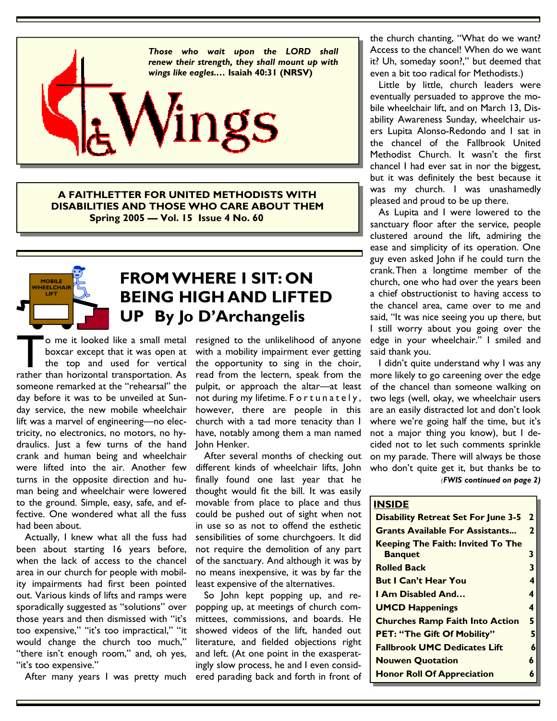

**A FAITHLETTER FOR UNITED METHODISTS WITH DISABILITIES AND THOSE WHO CARE ABOUT THEM Spring 2005 — Vol. 15 Issue 4 No. 60** 



# **FROM WHERE I SIT: ON BEING HIGH AND LIFTED UP By Jo D'Archangelis**

o me it looked like a small metal<br>boxcar except that it was open at<br>the top and used for vertical<br>rather than horizontal transportation. As boxcar except that it was open at the top and used for vertical someone remarked at the "rehearsal" the day before it was to be unveiled at Sunday service, the new mobile wheelchair lift was a marvel of engineering—no electricity, no electronics, no motors, no hydraulics. Just a few turns of the hand crank and human being and wheelchair were lifted into the air. Another few turns in the opposite direction and human being and wheelchair were lowered to the ground. Simple, easy, safe, and effective. One wondered what all the fuss had been about.

 Actually, I knew what all the fuss had been about starting 16 years before, when the lack of access to the chancel area in our church for people with mobility impairments had first been pointed out. Various kinds of lifts and ramps were sporadically suggested as "solutions" over those years and then dismissed with "it's too expensive," "it's too impractical," "it would change the church too much," "there isn't enough room," and, oh yes, "it's too expensive."

After many years I was pretty much

o me it looked like a small metal resigned to the unlikelihood of anyone with a mobility impairment ever getting the opportunity to sing in the choir, read from the lectern, speak from the pulpit, or approach the altar—at least not during my lifetime. For tunately, however, there are people in this church with a tad more tenacity than I have, notably among them a man named John Henker.

> After several months of checking out different kinds of wheelchair lifts, John finally found one last year that he thought would fit the bill. It was easily movable from place to place and thus could be pushed out of sight when not in use so as not to offend the esthetic sensibilities of some churchgoers. It did not require the demolition of any part of the sanctuary. And although it was by no means inexpensive, it was by far the least expensive of the alternatives.

> So John kept popping up, and repopping up, at meetings of church committees, commissions, and boards. He showed videos of the lift, handed out literature, and fielded objections right and left. (At one point in the exasperatingly slow process, he and I even considered parading back and forth in front of

the church chanting, "What do we want? Access to the chancel! When do we want it? Uh, someday soon?," but deemed that even a bit too radical for Methodists.)

 Little by little, church leaders were eventually persuaded to approve the mobile wheelchair lift, and on March 13, Disability Awareness Sunday, wheelchair users Lupita Alonso-Redondo and I sat in the chancel of the Fallbrook United Methodist Church. It wasn't the first chancel I had ever sat in nor the biggest, but it was definitely the best because it was my church. I was unashamedly pleased and proud to be up there.

 As Lupita and I were lowered to the sanctuary floor after the service, people clustered around the lift, admiring the ease and simplicity of its operation. One guy even asked John if he could turn the crank. Then a longtime member of the church, one who had over the years been a chief obstructionist to having access to the chancel area, came over to me and said, "It was nice seeing you up there, but I still worry about you going over the edge in your wheelchair." I smiled and said thank you.

 I didn't quite understand why I was any more likely to go careening over the edge of the chancel than someone walking on two legs (well, okay, we wheelchair users are an easily distracted lot and don't look where we're going half the time, but it's not a major thing you know), but I decided not to let such comments sprinkle on my parade. There will always be those who don't quite get it, but thanks be to *(FWIS continued on page 2)*

#### **INSIDE**

| <b>Disability Retreat Set For June 3-5</b>                 | $\overline{2}$ |  |
|------------------------------------------------------------|----------------|--|
| <b>Grants Available For Assistants</b>                     | $\mathbf{2}$   |  |
| <b>Keeping The Faith: Invited To The</b><br><b>Banquet</b> | 3              |  |
| <b>Rolled Back</b>                                         | 3              |  |
| <b>But I Can't Hear You</b>                                | 4              |  |
| <b>I Am Disabled And</b>                                   | 4              |  |
| <b>UMCD Happenings</b>                                     | 4              |  |
| <b>Churches Ramp Faith Into Action</b>                     |                |  |
| <b>PET: "The Gift Of Mobility"</b>                         |                |  |
| <b>Fallbrook UMC Dedicates Lift</b>                        |                |  |
| <b>Nouwen Quotation</b>                                    | 6              |  |
| <b>Honor Roll Of Appreciation</b>                          |                |  |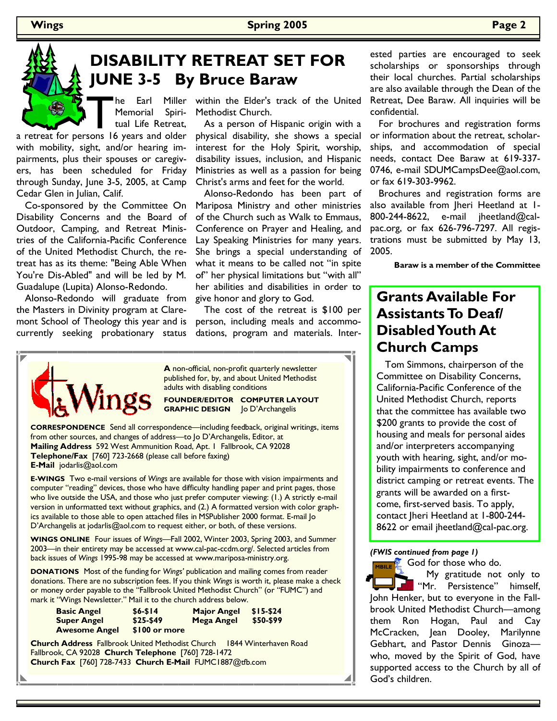

# **DISABILITY RETREAT SET FOR JUNE 3-5 By Bruce Baraw**

Memorial Spiritual Life Retreat,

with mobility, sight, and/or hearing impairments, plus their spouses or caregivers, has been scheduled for Friday through Sunday, June 3-5, 2005, at Camp Cedar Glen in Julian, Calif.

 Co-sponsored by the Committee On Disability Concerns and the Board of Outdoor, Camping, and Retreat Ministries of the California-Pacific Conference of the United Methodist Church, the retreat has as its theme: "Being Able When You're Dis-Abled" and will be led by M. Guadalupe (Lupita) Alonso-Redondo.

 Alonso-Redondo will graduate from the Masters in Divinity program at Claremont School of Theology this year and is currently seeking probationary status

within the Elder's track of the United Methodist Church.

 As a person of Hispanic origin with a physical disability, she shows a special interest for the Holy Spirit, worship, disability issues, inclusion, and Hispanic Ministries as well as a passion for being Christ's arms and feet for the world.

 Alonso-Redondo has been part of Mariposa Ministry and other ministries of the Church such as Walk to Emmaus, Conference on Prayer and Healing, and Lay Speaking Ministries for many years. She brings a special understanding of what it means to be called not "in spite of" her physical limitations but "with all" her abilities and disabilities in order to give honor and glory to God.

 The cost of the retreat is \$100 per person, including meals and accommodations, program and materials. Inter-



**A** non-official, non-profit quarterly newsletter published for, by, and about United Methodist adults with disabling conditions

**FOUNDER/EDITOR COMPUTER LAYOUT GRAPHIC DESIGN** Jo D'Archangelis

**CORRESPONDENCE** Send all correspondence—including feedback, original writings, items from other sources, and changes of address—to Jo D'Archangelis, Editor, at **Mailing Address** 592 West Ammunition Road, Apt. 1 Fallbrook, CA 92028 **Telephone/Fax** [760] 723-2668 (please call before faxing) **E-Mail** jodarlis@aol.com

**E-WINGS** Two e-mail versions of *Wings* are available for those with vision impairments and computer "reading" devices, those who have difficulty handling paper and print pages, those who live outside the USA, and those who just prefer computer viewing: (1.) A strictly e-mail version in unformatted text without graphics, and (2.) A formatted version with color graphics available to those able to open attached files in MSPublisher 2000 format. E-mail Jo D'Archangelis at jodarlis@aol.com to request either, or both, of these versions.

**WINGS ONLINE** Four issues of *Wings—*Fall 2002, Winter 2003, Spring 2003, and Summer 2003—in their entirety may be accessed at www.cal-pac-ccdm.org/. Selected articles from back issues of *Wings* 1995-98 may be accessed at www.mariposa-ministry.org.

**DONATIONS** Most of the funding for *Wings'* publication and mailing comes from reader donations. There are no subscription fees. If you think *Wings* is worth it, please make a check or money order payable to the "Fallbrook United Methodist Church" (or "FUMC") and mark it "Wings Newsletter." Mail it to the church address below.

| <b>Basic Angel</b>   | $$6 - $14$    | <b>Major Angel</b> | $$15-$24$ |
|----------------------|---------------|--------------------|-----------|
| <b>Super Angel</b>   | $$25-$49$     | Mega Angel         | \$50-\$99 |
| <b>Awesome Angel</b> | \$100 or more |                    |           |

**Church Address** Fallbrook United Methodist Church 1844 Winterhaven Road Fallbrook, CA 92028 **Church Telephone** [760] 728-1472 **Church Fax** [760] 728-7433 **Church E-Mail** FUMC1887@tfb.com

ested parties are encouraged to seek scholarships or sponsorships through their local churches. Partial scholarships are also available through the Dean of the Retreat, Dee Baraw. All inquiries will be confidential.

 For brochures and registration forms or information about the retreat, scholarships, and accommodation of special needs, contact Dee Baraw at 619-337- 0746, e-mail SDUMCampsDee@aol.com, or fax 619-303-9962.

 Brochures and registration forms are also available from Jheri Heetland at 1- 800-244-8622, e-mail jheetland@calpac.org, or fax 626-796-7297. All registrations must be submitted by May 13, 2005.

**Baraw is a member of the Committee** 

## **Grants Available For Assistants To Deaf/ Disabled Youth At Church Camps**

 Tom Simmons, chairperson of the Committee on Disability Concerns, California-Pacific Conference of the United Methodist Church, reports that the committee has available two \$200 grants to provide the cost of housing and meals for personal aides and/or interpreters accompanying youth with hearing, sight, and/or mobility impairments to conference and district camping or retreat events. The grants will be awarded on a firstcome, first-served basis. To apply, contact Jheri Heetland at 1-800-244- 8622 or email jheetland@cal-pac.org.

*(FWIS continued from page 1)* 

**God for those who do.**  My gratitude not only to "Mr. Persistence" himself, John Henker, but to everyone in the Fallbrook United Methodist Church—among them Ron Hogan, Paul and Cay McCracken, Jean Dooley, Marilynne Gebhart, and Pastor Dennis Ginoza who, moved by the Spirit of God, have supported access to the Church by all of God's children. **MBILE**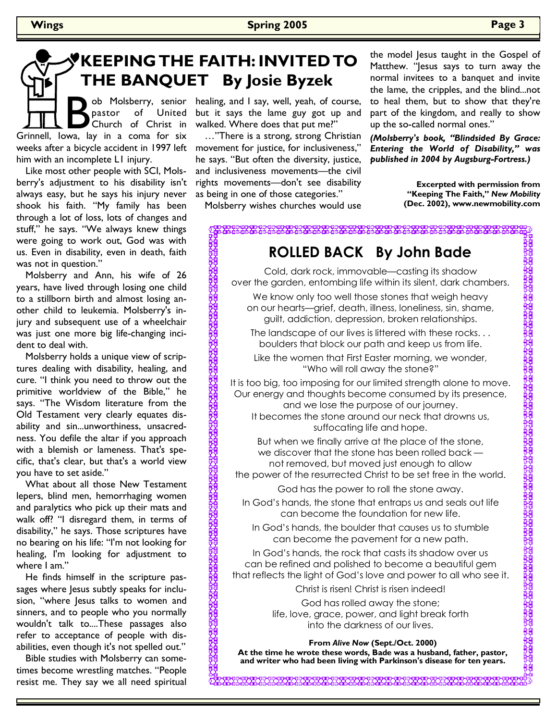# **KEEPING THE FAITH: INVITED TO THE BANQUET By Josie Byzek**

weeks after a bicycle accident in 1997 left movement for justice, for inclusiveness," B ob Molsberry, senior<br>
Grinnell, Iowa, lay in a coma for six pastor of United Church of Christ in him with an incomplete L1 injury.

Like most other people with SCI, Molsberry's adjustment to his disability isn't always easy, but he says his injury never shook his faith. "My family has been through a lot of loss, lots of changes and stuff," he says. "We always knew things were going to work out, God was with us. Even in disability, even in death, faith was not in question."

Molsberry and Ann, his wife of 26 years, have lived through losing one child to a stillborn birth and almost losing another child to leukemia. Molsberry's injury and subsequent use of a wheelchair was just one more big life-changing incident to deal with.

Molsberry holds a unique view of scriptures dealing with disability, healing, and cure. "I think you need to throw out the primitive worldview of the Bible," he says. "The Wisdom literature from the Old Testament very clearly equates disability and sin...unworthiness, unsacredness. You defile the altar if you approach with a blemish or lameness. That's specific, that's clear, but that's a world view you have to set aside."

What about all those New Testament lepers, blind men, hemorrhaging women and paralytics who pick up their mats and walk off? "I disregard them, in terms of disability," he says. Those scriptures have no bearing on his life: "I'm not looking for healing, I'm looking for adjustment to where I am."

He finds himself in the scripture passages where Jesus subtly speaks for inclusion, "where Jesus talks to women and sinners, and to people who you normally wouldn't talk to....These passages also refer to acceptance of people with disabilities, even though it's not spelled out."

Bible studies with Molsberry can sometimes become wrestling matches. "People resist me. They say we all need spiritual healing, and I say, well, yeah, of course, but it says the lame guy got up and walked. Where does that put me?"

…"There is a strong, strong Christian he says. "But often the diversity, justice, and inclusiveness movements—the civil rights movements—don't see disability as being in one of those categories."

Molsberry wishes churches would use

the model Jesus taught in the Gospel of Matthew. "Jesus says to turn away the normal invitees to a banquet and invite the lame, the cripples, and the blind...not to heal them, but to show that they're part of the kingdom, and really to show up the so-called normal ones."

*(Molsberry's book, "Blindsided By Grace: Entering the World of Disability," was published in 2004 by Augsburg-Fortress.)* 

> **Excerpted with permission from "Keeping The Faith,"** *New Mobility* **(Dec. 2002), www.newmobility.com**

로 가족 그 모자 모자 그리고 한 호텔 프로그램 모자 고기 고기 있다.<br>그러고 그 그의 그의 그는 그의 그의 그의 고기 그의 그의 그의 그의 소리

## **ROLLED BACK By John Bade**

Cold, dark rock, immovable—casting its shadow over the garden, entombing life within its silent, dark chambers. We know only too well those stones that weigh heavy on our hearts—grief, death, illness, loneliness, sin, shame, guilt, addiction, depression, broken relationships.

The landscape of our lives is littered with these rocks. . . boulders that block our path and keep us from life.

Like the women that First Easter morning, we wonder, "Who will roll away the stone?"

It is too big, too imposing for our limited strength alone to move. Our energy and thoughts become consumed by its presence, and we lose the purpose of our journey.

It becomes the stone around our neck that drowns us, suffocating life and hope.

But when we finally arrive at the place of the stone, we discover that the stone has been rolled back not removed, but moved just enough to allow the power of the resurrected Christ to be set free in the world.

God has the power to roll the stone away.

In God's hands, the stone that entraps us and seals out life can become the foundation for new life.

In God's hands, the boulder that causes us to stumble can become the pavement for a new path.

In God's hands, the rock that casts its shadow over us can be refined and polished to become a beautiful gem that reflects the light of God's love and power to all who see it.

Christ is risen! Christ is risen indeed!

God has rolled away the stone; life, love, grace, power, and light break forth into the darkness of our lives.

**From** *Alive Now* **(Sept./Oct. 2000)** 

**At the time he wrote these words, Bade was a husband, father, pastor, and writer who had been living with Parkinson's disease for ten years.**

<sub></sub>; 팑뫘땃땃됏꿪ِ땃ソ뫄땃덌<u>뫄</u>땃뫄땃끳끳ণ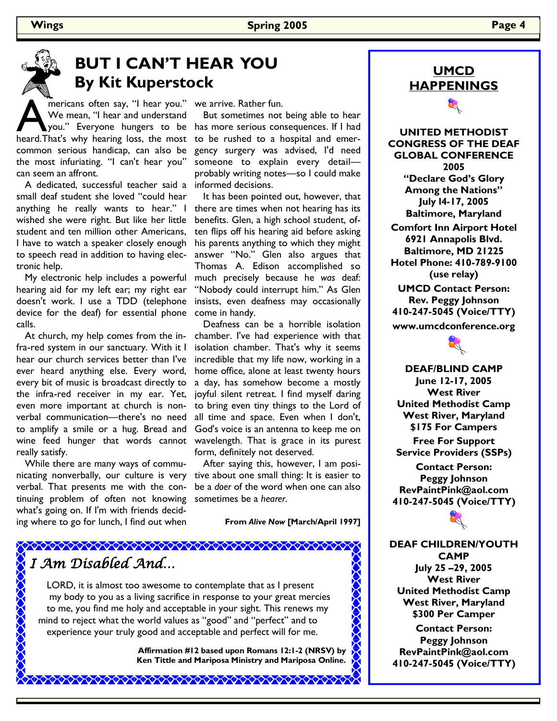



# **BUT I CAN'T HEAR YOU By Kit Kuperstock**

mericans often say, "I hear you."<br>We mean, "I hear and understand<br>heard.That's why hearing loss, the most We mean, "I hear and understand you." Everyone hungers to be heard. That's why hearing loss, the most common serious handicap, can also be the most infuriating. "I can't hear you" can seem an affront.

 A dedicated, successful teacher said a small deaf student she loved "could hear anything he really wants to hear." I wished she were right. But like her little student and ten million other Americans, I have to watch a speaker closely enough to speech read in addition to having electronic help.

 My electronic help includes a powerful hearing aid for my left ear; my right ear doesn't work. I use a TDD (telephone device for the deaf) for essential phone calls.

 At church, my help comes from the infra-red system in our sanctuary. With it I hear our church services better than I've ever heard anything else. Every word, every bit of music is broadcast directly to the infra-red receiver in my ear. Yet, even more important at church is nonverbal communication—there's no need to amplify a smile or a hug. Bread and wine feed hunger that words cannot really satisfy.

 While there are many ways of communicating nonverbally, our culture is very verbal. That presents me with the continuing problem of often not knowing what's going on. If I'm with friends deciding where to go for lunch, I find out when

we arrive. Rather fun.

 But sometimes not being able to hear has more serious consequences. If I had to be rushed to a hospital and emergency surgery was advised, I'd need someone to explain every detail probably writing notes—so I could make informed decisions.

 It has been pointed out, however, that there are times when not hearing has its benefits. Glen, a high school student, often flips off his hearing aid before asking his parents anything to which they might answer "No." Glen also argues that Thomas A. Edison accomplished so much precisely because he *was* deaf: "Nobody could interrupt him." As Glen insists, even deafness may occasionally come in handy.

 Deafness can be a horrible isolation chamber. I've had experience with that isolation chamber. That's why it seems incredible that my life now, working in a home office, alone at least twenty hours a day, has somehow become a mostly joyful silent retreat. I find myself daring to bring even tiny things to the Lord of all time and space. Even when I don't, God's voice is an antenna to keep me on wavelength. That is grace in its purest form, definitely not deserved.

 After saying this, however, I am positive about one small thing: It is easier to be a *doer* of the word when one can also sometimes be a *hearer*.

**From** *Alive Now* **[March/April 1997]**

#### \*\*\*\*\*\*\*\*\*\*\*\*\*\*\*\*\*\*\*\*\*\*\*\*\*\*\*\*\*\*\*\*\*\* I Am Disabled And…

LORD, it is almost too awesome to contemplate that as I present my body to you as a living sacrifice in response to your great mercies to me, you find me holy and acceptable in your sight. This renews my mind to reject what the world values as "good" and "perfect" and to experience your truly good and acceptable and perfect will for me.

\*\*\*\*\*\*\*\*\*\*\*\*\*\*\*\*\*\*\*\*\*\*\*\*\*\*\*\*\*\*

**Affirmation #12 based upon Romans 12:1-2 (NRSV) by Ken Tittle and Mariposa Ministry and Mariposa Online.** 



**UNITED METHODIST CONGRESS OF THE DEAF GLOBAL CONFERENCE 2005 "Declare God's Glory Among the Nations" July l4-17, 2005 Baltimore, Maryland Comfort Inn Airport Hotel 6921 Annapolis Blvd. Baltimore, MD 21225 Hotel Phone: 410-789-9100 (use relay) UMCD Contact Person: Rev. Peggy Johnson 410-247-5045 (Voice/TTY) www.umcdconference.org** 



**DEAF/BLIND CAMP June 12-17, 2005 West River United Methodist Camp West River, Maryland \$175 For Campers Free For Support Service Providers (SSPs)** 

**Contact Person: Peggy Johnson RevPaintPink@aol.com 410-247-5045 (Voice/TTY)** 

**DEAF CHILDREN/YOUTH CAMP July 25 –29, 2005 West River United Methodist Camp West River, Maryland \$300 Per Camper Contact Person: Peggy Johnson RevPaintPink@aol.com 410-247-5045 (Voice/TTY)**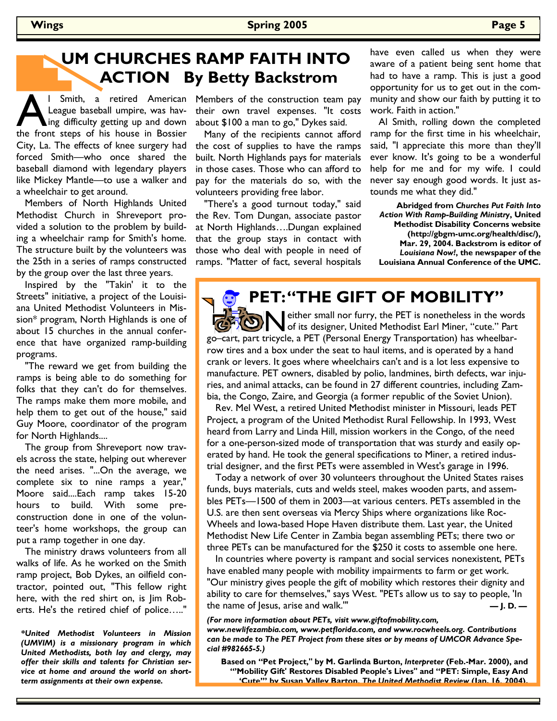# **UM CHURCHES RAMP FAITH INTO ACTION By Betty Backstrom**

**A l Smith, a retired American League baseball umpire, was having difficulty getting up and down the front steps of his house in Bossier** League baseball umpire, was having difficulty getting up and down City, La. The effects of knee surgery had forced Smith—who once shared the baseball diamond with legendary players like Mickey Mantle—to use a walker and a wheelchair to get around.

 Members of North Highlands United Methodist Church in Shreveport provided a solution to the problem by building a wheelchair ramp for Smith's home. The structure built by the volunteers was the 25th in a series of ramps constructed by the group over the last three years.

 Inspired by the "Takin' it to the Streets" initiative, a project of the Louisiana United Methodist Volunteers in Mission\* program, North Highlands is one of about 15 churches in the annual conference that have organized ramp-building programs.

 "The reward we get from building the ramps is being able to do something for folks that they can't do for themselves. The ramps make them more mobile, and help them to get out of the house," said Guy Moore, coordinator of the program for North Highlands....

 The group from Shreveport now travels across the state, helping out wherever the need arises. "...On the average, we complete six to nine ramps a year," Moore said....Each ramp takes 15-20 hours to build. With some preconstruction done in one of the volunteer's home workshops, the group can put a ramp together in one day.

 The ministry draws volunteers from all walks of life. As he worked on the Smith ramp project, Bob Dykes, an oilfield contractor, pointed out, "This fellow right here, with the red shirt on, is Jim Roberts. He's the retired chief of police….."

*\*United Methodist Volunteers in Mission (UMVIM) is a missionary program in which United Methodists, both lay and clergy, may offer their skills and talents for Christian service at home and around the world on shortterm assignments at their own expense.* 

Members of the construction team pay their own travel expenses. "It costs about \$100 a man to go," Dykes said.

 Many of the recipients cannot afford the cost of supplies to have the ramps built. North Highlands pays for materials in those cases. Those who can afford to pay for the materials do so, with the volunteers providing free labor.

 "There's a good turnout today," said the Rev. Tom Dungan, associate pastor at North Highlands….Dungan explained that the group stays in contact with those who deal with people in need of ramps. "Matter of fact, several hospitals have even called us when they were aware of a patient being sent home that had to have a ramp. This is just a good opportunity for us to get out in the community and show our faith by putting it to work. Faith in action."

 Al Smith, rolling down the completed ramp for the first time in his wheelchair, said, "I appreciate this more than they'll ever know. It's going to be a wonderful help for me and for my wife. I could never say enough good words. It just astounds me what they did."

**Abridged from** *Churches Put Faith Into Action With Ramp-Building Ministry***, United Methodist Disability Concerns website (http://gbgm-umc.org/health/disc/), Mar. 29, 2004. Backstrom is editor of**  *Louisiana Now!***, the newspaper of the Louisiana Annual Conference of the UMC.** 

# **PET: "THE GIFT OF MOBILITY"**

either small nor furry, the PET is nonetheless in the words of its designer, United Methodist Earl Miner, "cute." Part go–cart, part tricycle, a PET (Personal Energy Transportation) has wheelbarrow tires and a box under the seat to haul items, and is operated by a hand crank or levers. It goes where wheelchairs can't and is a lot less expensive to manufacture. PET owners, disabled by polio, landmines, birth defects, war injuries, and animal attacks, can be found in 27 different countries, including Zambia, the Congo, Zaire, and Georgia (a former republic of the Soviet Union).

 Rev. Mel West, a retired United Methodist minister in Missouri, leads PET Project, a program of the United Methodist Rural Fellowship. In 1993, West heard from Larry and Linda Hill, mission workers in the Congo, of the need for a one-person-sized mode of transportation that was sturdy and easily operated by hand. He took the general specifications to Miner, a retired industrial designer, and the first PETs were assembled in West's garage in 1996.

 Today a network of over 30 volunteers throughout the United States raises funds, buys materials, cuts and welds steel, makes wooden parts, and assembles PETs—1500 of them in 2003—at various centers. PETs assembled in the U.S. are then sent overseas via Mercy Ships where organizations like Roc-Wheels and Iowa-based Hope Haven distribute them. Last year, the United Methodist New Life Center in Zambia began assembling PETs; there two or three PETs can be manufactured for the \$250 it costs to assemble one here.

 In countries where poverty is rampant and social services nonexistent, PETs have enabled many people with mobility impairments to farm or get work. "Our ministry gives people the gift of mobility which restores their dignity and ability to care for themselves," says West. "PETs allow us to say to people, 'In the name of Jesus, arise and walk.'" **— J. D. —**

*(For more information about PETs, visit www.giftofmobility.com, www.newlifezambia.com, www.petflorida.com, and www.rocwheels.org. Contributions* 

*can be made to The PET Project from these sites or by means of UMCOR Advance Special #982665-5.)* 

**Based on "Pet Project," by M. Garlinda Burton,** *Interpreter* **(Feb.-Mar. 2000), and "'Mobility Gift' Restores Disabled People's Lives" and "PET: Simple, Easy And 'Cute'" by Susan Valley Barton,** *The United Methodist Review* **(Jan. 16, 2004).**